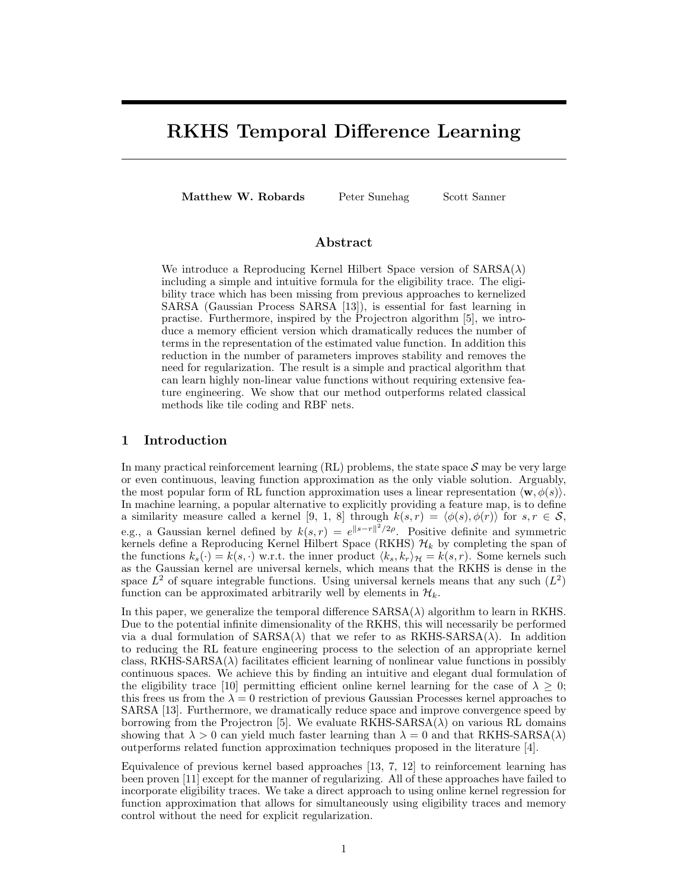# RKHS Temporal Difference Learning

Matthew W. Robards Peter Sunehag Scott Sanner

# Abstract

We introduce a Reproducing Kernel Hilbert Space version of  $SARSA(\lambda)$ including a simple and intuitive formula for the eligibility trace. The eligibility trace which has been missing from previous approaches to kernelized SARSA (Gaussian Process SARSA [13]), is essential for fast learning in practise. Furthermore, inspired by the Projectron algorithm [5], we introduce a memory efficient version which dramatically reduces the number of terms in the representation of the estimated value function. In addition this reduction in the number of parameters improves stability and removes the need for regularization. The result is a simple and practical algorithm that can learn highly non-linear value functions without requiring extensive feature engineering. We show that our method outperforms related classical methods like tile coding and RBF nets.

# 1 Introduction

In many practical reinforcement learning  $(RL)$  problems, the state space  $S$  may be very large or even continuous, leaving function approximation as the only viable solution. Arguably, the most popular form of RL function approximation uses a linear representation  $\langle \mathbf{w}, \phi(s) \rangle$ . In machine learning, a popular alternative to explicitly providing a feature map, is to define a similarity measure called a kernel [9, 1, 8] through  $k(s,r) = \langle \phi(s), \phi(r) \rangle$  for  $s, r \in S$ , e.g., a Gaussian kernel defined by  $k(s,r) = e^{\|s-r\|^2/2\rho}$ . Positive definite and symmetric kernels define a Reproducing Kernel Hilbert Space (RKHS)  $\mathcal{H}_k$  by completing the span of the functions  $k_s(\cdot) = k(s, \cdot)$  w.r.t. the inner product  $\langle k_s, k_r \rangle_{\mathcal{H}} = k(s, r)$ . Some kernels such as the Gaussian kernel are universal kernels, which means that the RKHS is dense in the space  $L^2$  of square integrable functions. Using universal kernels means that any such  $(L^2)$ function can be approximated arbitrarily well by elements in  $\mathcal{H}_k$ .

In this paper, we generalize the temporal difference  $SARSA(\lambda)$  algorithm to learn in RKHS. Due to the potential infinite dimensionality of the RKHS, this will necessarily be performed via a dual formulation of  $SARSA(\lambda)$  that we refer to as  $RKHSSARSA(\lambda)$ . In addition to reducing the RL feature engineering process to the selection of an appropriate kernel class, RKHS-SARSA( $\lambda$ ) facilitates efficient learning of nonlinear value functions in possibly continuous spaces. We achieve this by finding an intuitive and elegant dual formulation of the eligibility trace [10] permitting efficient online kernel learning for the case of  $\lambda \geq 0$ ; this frees us from the  $\lambda = 0$  restriction of previous Gaussian Processes kernel approaches to SARSA [13]. Furthermore, we dramatically reduce space and improve convergence speed by borrowing from the Projectron [5]. We evaluate  $RKHS-SARSA(\lambda)$  on various RL domains showing that  $\lambda > 0$  can yield much faster learning than  $\lambda = 0$  and that RKHS-SARSA( $\lambda$ ) outperforms related function approximation techniques proposed in the literature [4].

Equivalence of previous kernel based approaches [13, 7, 12] to reinforcement learning has been proven [11] except for the manner of regularizing. All of these approaches have failed to incorporate eligibility traces. We take a direct approach to using online kernel regression for function approximation that allows for simultaneously using eligibility traces and memory control without the need for explicit regularization.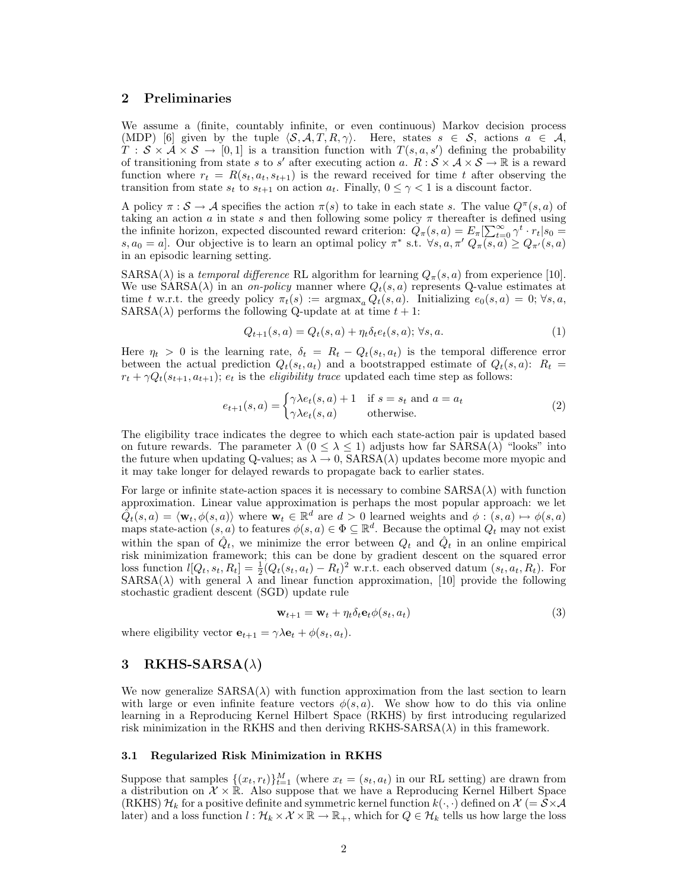# 2 Preliminaries

We assume a (finite, countably infinite, or even continuous) Markov decision process (MDP) [6] given by the tuple  $\langle S, A, T, R, \gamma \rangle$ . Here, states  $s \in S$ , actions  $a \in A$ ,  $T : S \times A \times S \to [0,1]$  is a transition function with  $T(s, a, s')$  defining the probability of transitioning from state s to s' after executing action a.  $R : \mathcal{S} \times \mathcal{A} \times \mathcal{S} \to \mathbb{R}$  is a reward function where  $r_t = R(s_t, a_t, s_{t+1})$  is the reward received for time t after observing the transition from state  $s_t$  to  $s_{t+1}$  on action  $a_t$ . Finally,  $0 \leq \gamma < 1$  is a discount factor.

A policy  $\pi : \mathcal{S} \to \mathcal{A}$  specifies the action  $\pi(s)$  to take in each state s. The value  $Q^{\pi}(s, a)$  of taking an action  $a$  in state  $s$  and then following some policy  $\pi$  thereafter is defined using the infinite horizon, expected discounted reward criterion:  $Q_{\pi}(s, a) = E_{\pi}[\sum_{t=0}^{\infty} \gamma^{t} \cdot r_t | s_0 =$  $s, a_0 = a$ . Our objective is to learn an optimal policy  $\pi^*$  s.t.  $\forall s, a, \pi'$   $Q_{\pi}(s, a) \geq Q_{\pi'}(s, a)$ in an episodic learning setting.

 $SARSA(\lambda)$  is a temporal difference RL algorithm for learning  $Q_{\pi}(s, a)$  from experience [10]. We use  $SARSA(\lambda)$  in an on-policy manner where  $Q_t(s, a)$  represents Q-value estimates at time t w.r.t. the greedy policy  $\pi_t(s) := \argmax_a Q_t(s, a)$ . Initializing  $e_0(s, a) = 0$ ;  $\forall s, a$ ,  $SARSA(\lambda)$  performs the following Q-update at at time  $t + 1$ :

$$
Q_{t+1}(s,a) = Q_t(s,a) + \eta_t \delta_t e_t(s,a); \forall s, a. \tag{1}
$$

Here  $\eta_t > 0$  is the learning rate,  $\delta_t = R_t - Q_t(s_t, a_t)$  is the temporal difference error between the actual prediction  $Q_t(s_t, a_t)$  and a bootstrapped estimate of  $Q_t(s, a)$ :  $R_t =$  $r_t + \gamma Q_t(s_{t+1}, a_{t+1}); e_t$  is the *eligibility trace* updated each time step as follows:

$$
e_{t+1}(s,a) = \begin{cases} \gamma \lambda e_t(s,a) + 1 & \text{if } s = s_t \text{ and } a = a_t \\ \gamma \lambda e_t(s,a) & \text{otherwise.} \end{cases}
$$
 (2)

The eligibility trace indicates the degree to which each state-action pair is updated based on future rewards. The parameter  $\lambda$  ( $0 \leq \lambda \leq 1$ ) adjusts how far SARSA( $\lambda$ ) "looks" into the future when updating Q-values; as  $\lambda \to 0$ , SARSA( $\lambda$ ) updates become more myopic and it may take longer for delayed rewards to propagate back to earlier states.

For large or infinite state-action spaces it is necessary to combine  $SARSA(\lambda)$  with function approximation. Linear value approximation is perhaps the most popular approach: we let  $\hat{Q}_t(s,a) = \langle \mathbf{w}_t, \phi(s,a) \rangle$  where  $\mathbf{w}_t \in \mathbb{R}^d$  are  $d > 0$  learned weights and  $\phi : (s, a) \mapsto \phi(s,a)$ maps state-action  $(s, a)$  to features  $\phi(s, a) \in \Phi \subseteq \mathbb{R}^d$ . Because the optimal  $Q_t$  may not exist within the span of  $\hat{Q}_t$ , we minimize the error between  $Q_t$  and  $\hat{Q}_t$  in an online empirical risk minimization framework; this can be done by gradient descent on the squared error loss function  $l[Q_t, s_t, R_t] = \frac{1}{2}(Q_t(s_t, a_t) - R_t)^2$  w.r.t. each observed datum  $(s_t, a_t, R_t)$ . For  $SARSA(\lambda)$  with general  $\lambda$  and linear function approximation, [10] provide the following stochastic gradient descent (SGD) update rule

$$
\mathbf{w}_{t+1} = \mathbf{w}_t + \eta_t \delta_t \mathbf{e}_t \phi(s_t, a_t)
$$
\n(3)

where eligibility vector  $\mathbf{e}_{t+1} = \gamma \lambda \mathbf{e}_t + \phi(s_t, a_t)$ .

# 3 RKHS-SARSA $(\lambda)$

We now generalize  $SARSA(\lambda)$  with function approximation from the last section to learn with large or even infinite feature vectors  $\phi(s, a)$ . We show how to do this via online learning in a Reproducing Kernel Hilbert Space (RKHS) by first introducing regularized risk minimization in the RKHS and then deriving  $RKHS-SARSA(\lambda)$  in this framework.

### 3.1 Regularized Risk Minimization in RKHS

Suppose that samples  $\{(x_t, r_t)\}_{t=1}^M$  (where  $x_t = (s_t, a_t)$  in our RL setting) are drawn from a distribution on  $\mathcal{X} \times \mathbb{R}$ . Also suppose that we have a Reproducing Kernel Hilbert Space (RKHS)  $\mathcal{H}_k$  for a positive definite and symmetric kernel function  $k(\cdot, \cdot)$  defined on  $\mathcal{X}$  (=  $\mathcal{S} \times \mathcal{A}$ later) and a loss function  $l : \mathcal{H}_k \times \mathcal{X} \times \mathbb{R} \to \mathbb{R}_+$ , which for  $Q \in \mathcal{H}_k$  tells us how large the loss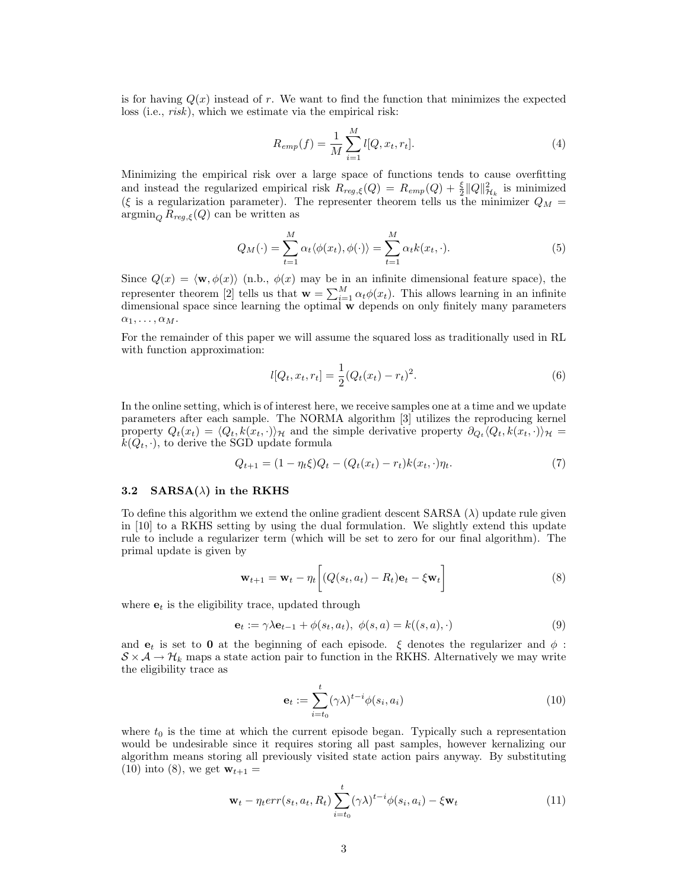is for having  $Q(x)$  instead of r. We want to find the function that minimizes the expected loss (i.e., *risk*), which we estimate via the empirical risk:

$$
R_{emp}(f) = \frac{1}{M} \sum_{i=1}^{M} l[Q, x_t, r_t].
$$
\n(4)

Minimizing the empirical risk over a large space of functions tends to cause overfitting and instead the regularized empirical risk  $R_{reg,\xi}(Q) = R_{emp}(Q) + \frac{\xi}{2} ||Q||^2_{\mathcal{H}_k}$  is minimized (ξ is a regularization parameter). The representer theorem tells us the minimizer  $Q_M$  =  $\operatorname{argmin}_Q R_{reg,\xi}(Q)$  can be written as

$$
Q_M(\cdot) = \sum_{t=1}^M \alpha_t \langle \phi(x_t), \phi(\cdot) \rangle = \sum_{t=1}^M \alpha_t k(x_t, \cdot). \tag{5}
$$

Since  $Q(x) = \langle \mathbf{w}, \phi(x) \rangle$  (n.b.,  $\phi(x)$  may be in an infinite dimensional feature space), the representer theorem [2] tells us that  $\mathbf{w} = \sum_{i=1}^{M} \alpha_i \phi(x_i)$ . This allows learning in an infinite dimensional space since learning the optimal w depends on only finitely many parameters  $\alpha_1, \ldots, \alpha_M.$ 

For the remainder of this paper we will assume the squared loss as traditionally used in RL with function approximation:

$$
l[Q_t, x_t, r_t] = \frac{1}{2}(Q_t(x_t) - r_t)^2.
$$
\n(6)

In the online setting, which is of interest here, we receive samples one at a time and we update parameters after each sample. The NORMA algorithm [3] utilizes the reproducing kernel property  $Q_t(x_t) = \langle Q_t, k(x_t, \cdot) \rangle_{\mathcal{H}}$  and the simple derivative property  $\partial_{Q_t} \langle Q_t, k(x_t, \cdot) \rangle_{\mathcal{H}} =$  $k(Q_t, \cdot)$ , to derive the SGD update formula

$$
Q_{t+1} = (1 - \eta_t \xi) Q_t - (Q_t(x_t) - r_t) k(x_t, \cdot) \eta_t.
$$
\n(7)

### 3.2 SARSA( $\lambda$ ) in the RKHS

To define this algorithm we extend the online gradient descent  $SARSA(\lambda)$  update rule given in [10] to a RKHS setting by using the dual formulation. We slightly extend this update rule to include a regularizer term (which will be set to zero for our final algorithm). The primal update is given by

$$
\mathbf{w}_{t+1} = \mathbf{w}_t - \eta_t \bigg[ (Q(s_t, a_t) - R_t) \mathbf{e}_t - \xi \mathbf{w}_t \bigg] \tag{8}
$$

where  $e_t$  is the eligibility trace, updated through

$$
\mathbf{e}_t := \gamma \lambda \mathbf{e}_{t-1} + \phi(s_t, a_t), \ \phi(s, a) = k((s, a), \cdot)
$$
\n<sup>(9)</sup>

and  $e_t$  is set to 0 at the beginning of each episode.  $\xi$  denotes the regularizer and  $\phi$ :  $S \times A \rightarrow \mathcal{H}_k$  maps a state action pair to function in the RKHS. Alternatively we may write the eligibility trace as

$$
\mathbf{e}_t := \sum_{i=t_0}^t (\gamma \lambda)^{t-i} \phi(s_i, a_i)
$$
 (10)

where  $t_0$  is the time at which the current episode began. Typically such a representation would be undesirable since it requires storing all past samples, however kernalizing our algorithm means storing all previously visited state action pairs anyway. By substituting (10) into (8), we get  $w_{t+1} =$ 

$$
\mathbf{w}_t - \eta_t err(s_t, a_t, R_t) \sum_{i=t_0}^t (\gamma \lambda)^{t-i} \phi(s_i, a_i) - \xi \mathbf{w}_t
$$
\n(11)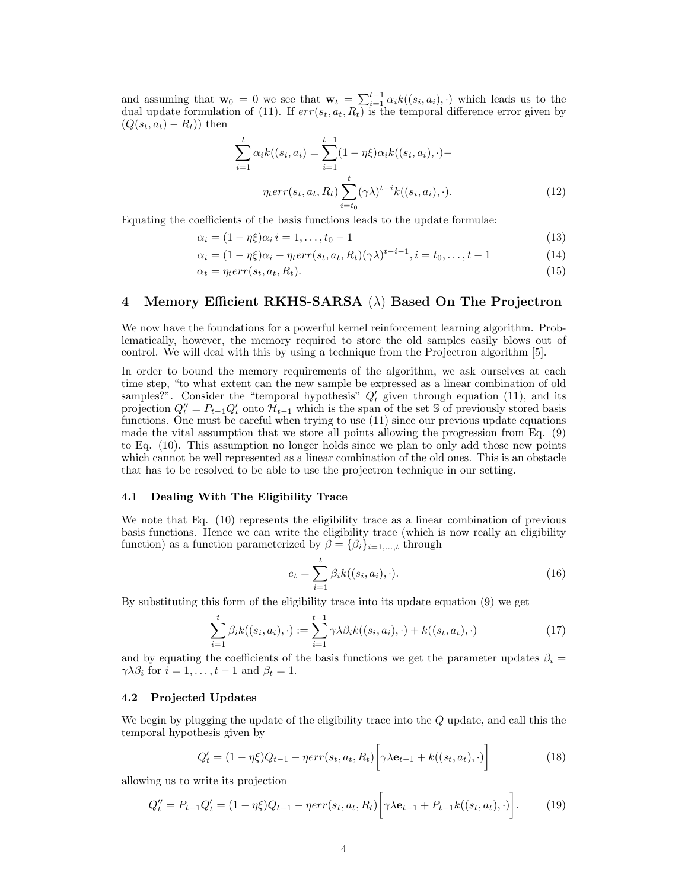and assuming that  $\mathbf{w}_0 = 0$  we see that  $\mathbf{w}_t = \sum_{i=1}^{t-1} \alpha_i k((s_i, a_i), \cdot)$  which leads us to the dual update formulation of (11). If  $err(s_t, a_t, R_t)$  is the temporal difference error given by  $(Q(s_t, a_t) - R_t)$  then

$$
\sum_{i=1}^{t} \alpha_{i} k((s_{i}, a_{i}) = \sum_{i=1}^{t-1} (1 - \eta \xi) \alpha_{i} k((s_{i}, a_{i}), \cdot) -
$$

$$
\eta_{t} err(s_{t}, a_{t}, R_{t}) \sum_{i=t_{0}}^{t} (\gamma \lambda)^{t-i} k((s_{i}, a_{i}), \cdot).
$$
(12)

Equating the coefficients of the basis functions leads to the update formulae:

$$
\alpha_i = (1 - \eta \xi) \alpha_i \, i = 1, \dots, t_0 - 1 \tag{13}
$$

$$
\alpha_i = (1 - \eta \xi)\alpha_i - \eta_t err(s_t, a_t, R_t)(\gamma \lambda)^{t-i-1}, i = t_0, \dots, t-1
$$
\n(14)

$$
\alpha_t = \eta_t err(s_t, a_t, R_t). \tag{15}
$$

### 4 Memory Efficient RKHS-SARSA  $(\lambda)$  Based On The Projectron

We now have the foundations for a powerful kernel reinforcement learning algorithm. Problematically, however, the memory required to store the old samples easily blows out of control. We will deal with this by using a technique from the Projectron algorithm [5].

In order to bound the memory requirements of the algorithm, we ask ourselves at each time step, "to what extent can the new sample be expressed as a linear combination of old samples?". Consider the "temporal hypothesis"  $Q'_t$  given through equation (11), and its projection  $Q''_t = P_{t-1}Q'_t$  onto  $\mathcal{H}_{t-1}$  which is the span of the set S of previously stored basis functions. One must be careful when trying to use (11) since our previous update equations made the vital assumption that we store all points allowing the progression from Eq. (9) to Eq. (10). This assumption no longer holds since we plan to only add those new points which cannot be well represented as a linear combination of the old ones. This is an obstacle that has to be resolved to be able to use the projectron technique in our setting.

#### 4.1 Dealing With The Eligibility Trace

We note that Eq. (10) represents the eligibility trace as a linear combination of previous basis functions. Hence we can write the eligibility trace (which is now really an eligibility function) as a function parameterized by  $\beta = {\beta_i}_{i=1,\dots,t}$  through

$$
e_t = \sum_{i=1}^t \beta_i k((s_i, a_i), \cdot). \tag{16}
$$

By substituting this form of the eligibility trace into its update equation (9) we get

$$
\sum_{i=1}^{t} \beta_{i} k((s_{i}, a_{i}), \cdot) := \sum_{i=1}^{t-1} \gamma \lambda \beta_{i} k((s_{i}, a_{i}), \cdot) + k((s_{t}, a_{t}), \cdot)
$$
\n(17)

and by equating the coefficients of the basis functions we get the parameter updates  $\beta_i =$  $\gamma \lambda \beta_i$  for  $i = 1, \ldots, t - 1$  and  $\beta_t = 1$ .

## 4.2 Projected Updates

We begin by plugging the update of the eligibility trace into the Q update, and call this the temporal hypothesis given by

$$
Q'_t = (1 - \eta \xi)Q_{t-1} - \eta err(s_t, a_t, R_t) \bigg[\gamma \lambda \mathbf{e}_{t-1} + k((s_t, a_t), \cdot)\bigg]
$$
(18)

allowing us to write its projection

$$
Q''_t = P_{t-1}Q'_t = (1 - \eta \xi)Q_{t-1} - \eta err(s_t, a_t, R_t) \bigg[ \gamma \lambda \mathbf{e}_{t-1} + P_{t-1}k((s_t, a_t), \cdot) \bigg]. \tag{19}
$$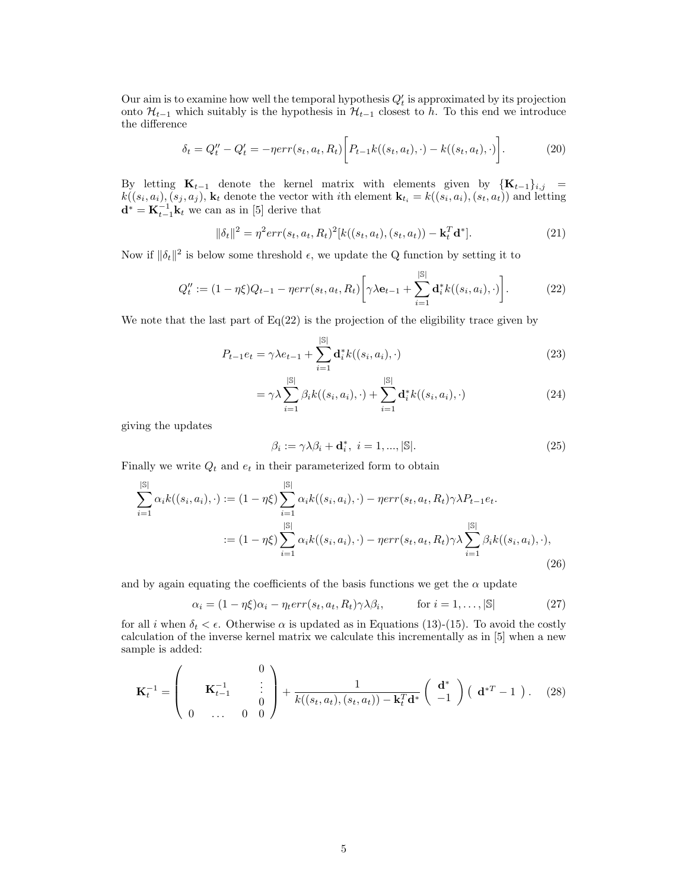Our aim is to examine how well the temporal hypothesis  $Q'_{t}$  is approximated by its projection onto  $\mathcal{H}_{t-1}$  which suitably is the hypothesis in  $\mathcal{H}_{t-1}$  closest to h. To this end we introduce the difference

$$
\delta_t = Q''_t - Q'_t = -\eta err(s_t, a_t, R_t) \bigg[ P_{t-1} k((s_t, a_t), \cdot) - k((s_t, a_t), \cdot) \bigg]. \tag{20}
$$

By letting  $\mathbf{K}_{t-1}$  denote the kernel matrix with elements given by  $\{\mathbf{K}_{t-1}\}_{i,j}$  =  $k((s_i, a_i), (s_j, a_j), \mathbf{k}_t$  denote the vector with *i*th element  $\mathbf{k}_{t_i} = k((s_i, a_i), (s_t, a_t))$  and letting  $\mathbf{d}^* = \mathbf{K}_{t-1}^{-1} \mathbf{k}_t$  we can as in [5] derive that

$$
\|\delta_t\|^2 = \eta^2 err(s_t, a_t, R_t)^2 [k((s_t, a_t), (s_t, a_t)) - \mathbf{k}_t^T \mathbf{d}^*].
$$
\n(21)

Now if  $\|\delta_t\|^2$  is below some threshold  $\epsilon$ , we update the Q function by setting it to

$$
Q''_t := (1 - \eta \xi) Q_{t-1} - \eta err(s_t, a_t, R_t) \left[ \gamma \lambda \mathbf{e}_{t-1} + \sum_{i=1}^{|\mathbb{S}|} \mathbf{d}_i^* k((s_i, a_i), \cdot) \right].
$$
 (22)

We note that the last part of  $Eq(22)$  is the projection of the eligibility trace given by

$$
P_{t-1}e_t = \gamma \lambda e_{t-1} + \sum_{i=1}^{|\mathbb{S}|} \mathbf{d}_i^* k((s_i, a_i), \cdot)
$$
 (23)

$$
= \gamma \lambda \sum_{i=1}^{\left|\mathbb{S}\right|} \beta_i k((s_i, a_i), \cdot) + \sum_{i=1}^{\left|\mathbb{S}\right|} \mathbf{d}_i^* k((s_i, a_i), \cdot) \tag{24}
$$

giving the updates

$$
\beta_i := \gamma \lambda \beta_i + \mathbf{d}_i^*, \ i = 1, ..., |\mathbb{S}|. \tag{25}
$$

Finally we write  $Q_t$  and  $e_t$  in their parameterized form to obtain

$$
\sum_{i=1}^{|\mathbb{S}|} \alpha_i k((s_i, a_i), \cdot) := (1 - \eta \xi) \sum_{i=1}^{|\mathbb{S}|} \alpha_i k((s_i, a_i), \cdot) - \eta err(s_t, a_t, R_t) \gamma \lambda P_{t-1} e_t.
$$
  

$$
:= (1 - \eta \xi) \sum_{i=1}^{|\mathbb{S}|} \alpha_i k((s_i, a_i), \cdot) - \eta err(s_t, a_t, R_t) \gamma \lambda \sum_{i=1}^{|\mathbb{S}|} \beta_i k((s_i, a_i), \cdot),
$$
\n(26)

and by again equating the coefficients of the basis functions we get the  $\alpha$  update

$$
\alpha_i = (1 - \eta \xi)\alpha_i - \eta_t err(s_t, a_t, R_t) \gamma \lambda \beta_i, \qquad \text{for } i = 1, \dots, |\mathbb{S}| \qquad (27)
$$

for all i when  $\delta_t < \epsilon$ . Otherwise  $\alpha$  is updated as in Equations (13)-(15). To avoid the costly calculation of the inverse kernel matrix we calculate this incrementally as in [5] when a new sample is added:

$$
\mathbf{K}_t^{-1} = \begin{pmatrix} 0 \\ \mathbf{K}_{t-1}^{-1} \\ 0 \\ \cdots \\ 0 \end{pmatrix} + \frac{1}{k((s_t, a_t), (s_t, a_t)) - \mathbf{k}_t^T \mathbf{d}^*} \begin{pmatrix} \mathbf{d}^* \\ -1 \end{pmatrix} (\mathbf{d}^{*T} - 1 ). \quad (28)
$$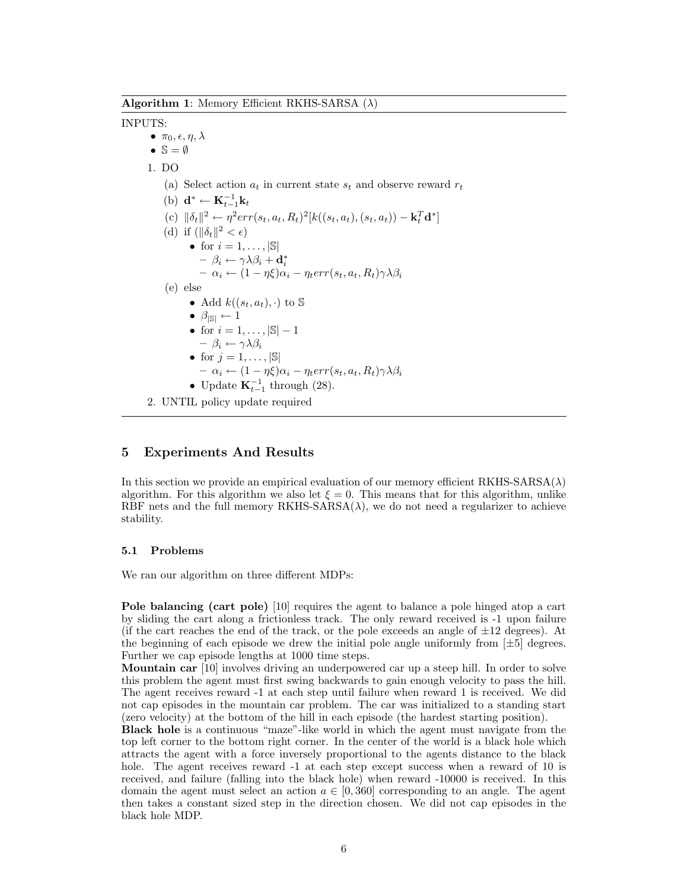Algorithm 1: Memory Efficient RKHS-SARSA  $(\lambda)$ 

### INPUTS:

 $\bullet$   $\pi_0, \epsilon, \eta, \lambda$ •  $\mathbb{S} = \emptyset$ 1. DO (a) Select action  $a_t$  in current state  $s_t$  and observe reward  $r_t$ (b)  $\mathbf{d}^* \leftarrow \mathbf{K}_{t-1}^{-1} \mathbf{k}_t$ (c)  $\|\delta_t\|^2 \leftarrow \eta^2 err(s_t, a_t, R_t)^2[k((s_t, a_t), (s_t, a_t)) - \mathbf{k}_t^T \mathbf{d}^*]$ (d) if  $(\|\delta_t\|^2 < \epsilon)$ • for  $i = 1, \ldots, |\mathbb{S}|$  $- \beta_i \leftarrow \gamma \lambda \beta_i + \mathbf{d}_i^* \ - \alpha_i \leftarrow (1 - \eta \xi) \alpha_i - \eta_t err(s_t, a_t, R_t) \gamma \lambda \beta_i$ (e) else • Add  $k((s_t, a_t), \cdot)$  to  $\mathbb S$ •  $\beta_{|S|} \leftarrow \hat{1}$ • for  $i = 1, ..., |\mathbb{S}| - 1$  $- \beta_i \leftarrow \gamma \lambda \beta_i$ • for  $j = 1, \ldots, |\mathbb{S}|$  $- \alpha_i \leftarrow (1 - \eta \xi) \alpha_i - \eta_t err(s_t, a_t, R_t) \gamma \lambda \beta_i$ • Update  $\mathbf{K}_{t-1}^{-1}$  through (28). 2. UNTIL policy update required

# 5 Experiments And Results

In this section we provide an empirical evaluation of our memory efficient RKHS-SARSA( $\lambda$ ) algorithm. For this algorithm we also let  $\xi = 0$ . This means that for this algorithm, unlike RBF nets and the full memory  $RKHS-SARSA(\lambda)$ , we do not need a regularizer to achieve stability.

## 5.1 Problems

We ran our algorithm on three different MDPs:

Pole balancing (cart pole) [10] requires the agent to balance a pole hinged atop a cart by sliding the cart along a frictionless track. The only reward received is -1 upon failure (if the cart reaches the end of the track, or the pole exceeds an angle of  $\pm 12$  degrees). At the beginning of each episode we drew the initial pole angle uniformly from  $[\pm 5]$  degrees. Further we cap episode lengths at 1000 time steps.

Mountain car [10] involves driving an underpowered car up a steep hill. In order to solve this problem the agent must first swing backwards to gain enough velocity to pass the hill. The agent receives reward -1 at each step until failure when reward 1 is received. We did not cap episodes in the mountain car problem. The car was initialized to a standing start (zero velocity) at the bottom of the hill in each episode (the hardest starting position).

Black hole is a continuous "maze"-like world in which the agent must navigate from the top left corner to the bottom right corner. In the center of the world is a black hole which attracts the agent with a force inversely proportional to the agents distance to the black hole. The agent receives reward  $-1$  at each step except success when a reward of 10 is received, and failure (falling into the black hole) when reward -10000 is received. In this domain the agent must select an action  $a \in [0, 360]$  corresponding to an angle. The agent then takes a constant sized step in the direction chosen. We did not cap episodes in the black hole MDP.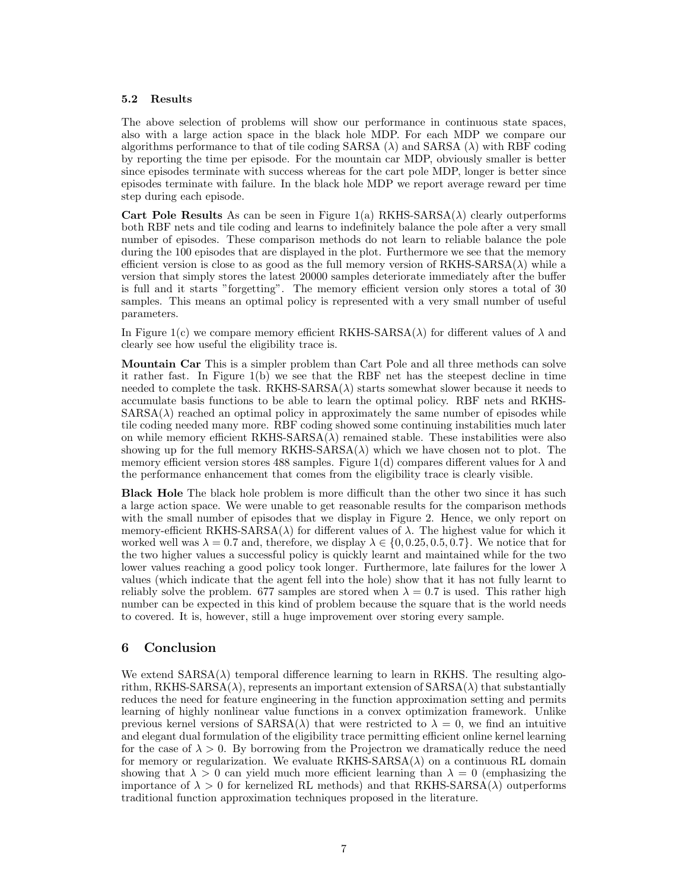### 5.2 Results

The above selection of problems will show our performance in continuous state spaces, also with a large action space in the black hole MDP. For each MDP we compare our algorithms performance to that of tile coding SARSA  $(\lambda)$  and SARSA  $(\lambda)$  with RBF coding by reporting the time per episode. For the mountain car MDP, obviously smaller is better since episodes terminate with success whereas for the cart pole MDP, longer is better since episodes terminate with failure. In the black hole MDP we report average reward per time step during each episode.

Cart Pole Results As can be seen in Figure 1(a) RKHS-SARSA( $\lambda$ ) clearly outperforms both RBF nets and tile coding and learns to indefinitely balance the pole after a very small number of episodes. These comparison methods do not learn to reliable balance the pole during the 100 episodes that are displayed in the plot. Furthermore we see that the memory efficient version is close to as good as the full memory version of  $RKHS-SARSA(\lambda)$  while a version that simply stores the latest 20000 samples deteriorate immediately after the buffer is full and it starts "forgetting". The memory efficient version only stores a total of 30 samples. This means an optimal policy is represented with a very small number of useful parameters.

In Figure 1(c) we compare memory efficient RKHS-SARSA( $\lambda$ ) for different values of  $\lambda$  and clearly see how useful the eligibility trace is.

Mountain Car This is a simpler problem than Cart Pole and all three methods can solve it rather fast. In Figure 1(b) we see that the RBF net has the steepest decline in time needed to complete the task.  $RKHS- SARSA(\lambda)$  starts somewhat slower because it needs to accumulate basis functions to be able to learn the optimal policy. RBF nets and RKHS- $SARSA(\lambda)$  reached an optimal policy in approximately the same number of episodes while tile coding needed many more. RBF coding showed some continuing instabilities much later on while memory efficient  $RKHS- SARSA(\lambda)$  remained stable. These instabilities were also showing up for the full memory RKHS-SARSA( $\lambda$ ) which we have chosen not to plot. The memory efficient version stores 488 samples. Figure 1(d) compares different values for  $\lambda$  and the performance enhancement that comes from the eligibility trace is clearly visible.

Black Hole The black hole problem is more difficult than the other two since it has such a large action space. We were unable to get reasonable results for the comparison methods with the small number of episodes that we display in Figure 2. Hence, we only report on memory-efficient RKHS-SARSA( $\lambda$ ) for different values of  $\lambda$ . The highest value for which it worked well was  $\lambda = 0.7$  and, therefore, we display  $\lambda \in \{0, 0.25, 0.5, 0.7\}$ . We notice that for the two higher values a successful policy is quickly learnt and maintained while for the two lower values reaching a good policy took longer. Furthermore, late failures for the lower  $\lambda$ values (which indicate that the agent fell into the hole) show that it has not fully learnt to reliably solve the problem. 677 samples are stored when  $\lambda = 0.7$  is used. This rather high number can be expected in this kind of problem because the square that is the world needs to covered. It is, however, still a huge improvement over storing every sample.

# 6 Conclusion

We extend  $SARSA(\lambda)$  temporal difference learning to learn in RKHS. The resulting algorithm, RKHS-SARSA( $\lambda$ ), represents an important extension of  $SARSA(\lambda)$  that substantially reduces the need for feature engineering in the function approximation setting and permits learning of highly nonlinear value functions in a convex optimization framework. Unlike previous kernel versions of  $SARSA(\lambda)$  that were restricted to  $\lambda = 0$ , we find an intuitive and elegant dual formulation of the eligibility trace permitting efficient online kernel learning for the case of  $\lambda > 0$ . By borrowing from the Projectron we dramatically reduce the need for memory or regularization. We evaluate  $RKHS-SARSA(\lambda)$  on a continuous RL domain showing that  $\lambda > 0$  can yield much more efficient learning than  $\lambda = 0$  (emphasizing the importance of  $\lambda > 0$  for kernelized RL methods) and that RKHS-SARSA( $\lambda$ ) outperforms traditional function approximation techniques proposed in the literature.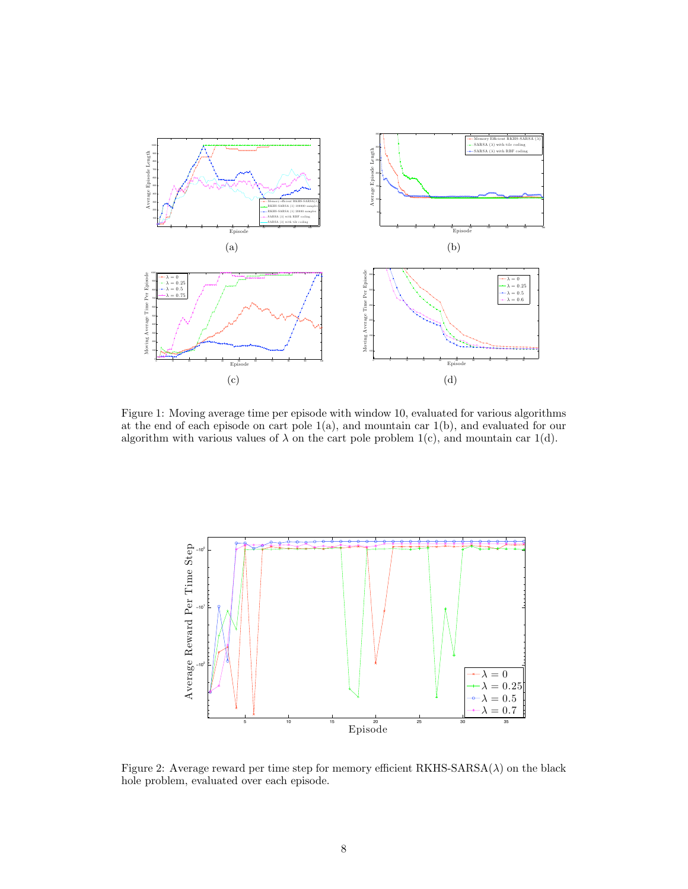

Figure 1: Moving average time per episode with window 10, evaluated for various algorithms at the end of each episode on cart pole 1(a), and mountain car 1(b), and evaluated for our algorithm with various values of  $\lambda$  on the cart pole problem 1(c), and mountain car 1(d).



Figure 2: Average reward per time step for memory efficient  $RKHS-SARSA(\lambda)$  on the black hole problem, evaluated over each episode.